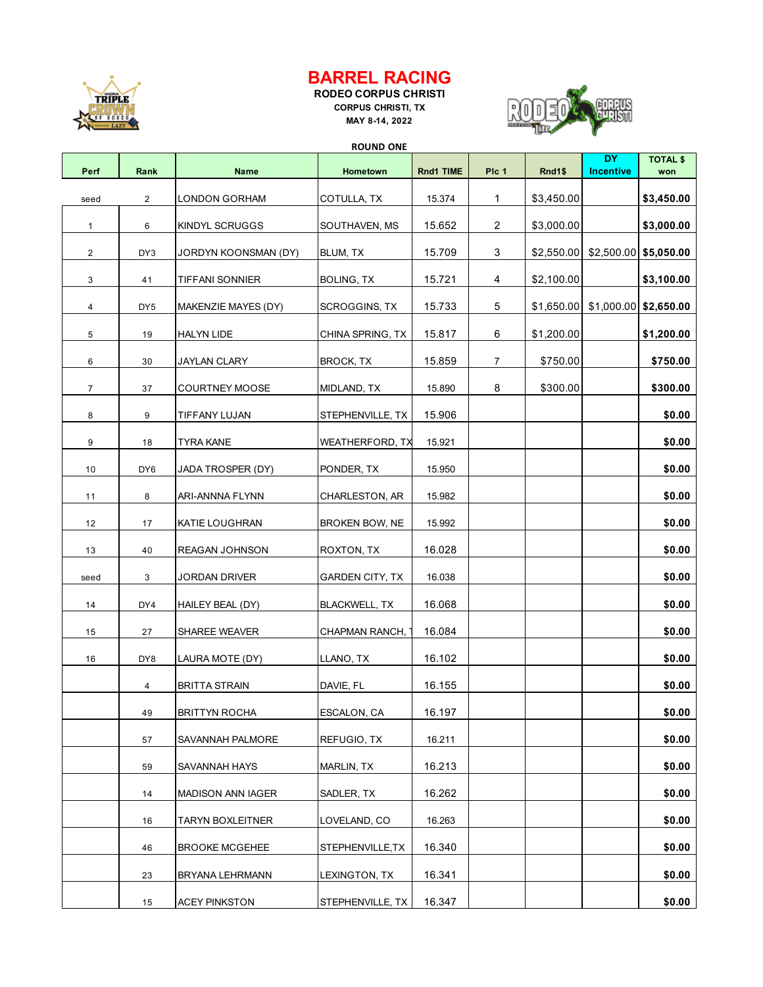

## **BARREL RACING**

**RODEO CORPUS CHRISTI CORPUS CHRISTI, TX MAY 8-14, 2022**



**ROUND ONE**

| Perf           | Rank            | <b>Name</b>              | Hometown               | Rnd1 TIME | Plc 1 | Rnd1\$     | DY.<br><b>Incentive</b>             | <b>TOTAL \$</b><br>won |
|----------------|-----------------|--------------------------|------------------------|-----------|-------|------------|-------------------------------------|------------------------|
| seed           | $\overline{2}$  | LONDON GORHAM            | COTULLA, TX            | 15.374    | 1     | \$3,450.00 |                                     | \$3,450.00             |
| $\mathbf{1}$   | 6               | KINDYL SCRUGGS           | SOUTHAVEN, MS          | 15.652    | 2     | \$3,000.00 |                                     | \$3,000.00             |
| $\overline{2}$ | DY3             | JORDYN KOONSMAN (DY)     | BLUM, TX               | 15.709    | 3     |            | $$2,550.00$ $$2,500.00$ $$5,050.00$ |                        |
| 3              | 41              | <b>TIFFANI SONNIER</b>   | <b>BOLING, TX</b>      | 15.721    | 4     | \$2,100.00 |                                     | \$3,100.00             |
| 4              | DY <sub>5</sub> | MAKENZIE MAYES (DY)      | SCROGGINS, TX          | 15.733    | 5     | \$1,650.00 |                                     | $$1,000.00$ \$2,650.00 |
| 5              | 19              | <b>HALYN LIDE</b>        | CHINA SPRING, TX       | 15.817    | 6     | \$1,200.00 |                                     | \$1,200.00             |
| 6              | 30              | JAYLAN CLARY             | BROCK, TX              | 15.859    | 7     | \$750.00   |                                     | \$750.00               |
| $\overline{7}$ | 37              | <b>COURTNEY MOOSE</b>    | MIDLAND, TX            | 15.890    | 8     | \$300.00   |                                     | \$300.00               |
| 8              | 9               | TIFFANY LUJAN            | STEPHENVILLE, TX       | 15.906    |       |            |                                     | \$0.00                 |
| 9              | 18              | TYRA KANE                | WEATHERFORD, TX        | 15.921    |       |            |                                     | \$0.00                 |
| 10             | DY6             | JADA TROSPER (DY)        | PONDER, TX             | 15.950    |       |            |                                     | \$0.00                 |
| 11             | 8               | ARI-ANNNA FLYNN          | CHARLESTON, AR         | 15.982    |       |            |                                     | \$0.00                 |
| 12             | 17              | KATIE LOUGHRAN           | BROKEN BOW, NE         | 15.992    |       |            |                                     | \$0.00                 |
| 13             | 40              | REAGAN JOHNSON           | ROXTON, TX             | 16.028    |       |            |                                     | \$0.00                 |
| seed           | 3               | JORDAN DRIVER            | <b>GARDEN CITY, TX</b> | 16.038    |       |            |                                     | \$0.00                 |
| 14             | DY4             | HAILEY BEAL (DY)         | <b>BLACKWELL, TX</b>   | 16.068    |       |            |                                     | \$0.00                 |
| 15             | 27              | <b>SHAREE WEAVER</b>     | CHAPMAN RANCH,         | 16.084    |       |            |                                     | \$0.00                 |
| 16             | DY8             | LAURA MOTE (DY)          | LLANO, TX              | 16.102    |       |            |                                     | \$0.00                 |
|                | 4               | <b>BRITTA STRAIN</b>     | DAVIE, FL              | 16.155    |       |            |                                     | \$0.00                 |
|                | 49              | <b>BRITTYN ROCHA</b>     | ESCALON, CA            | 16.197    |       |            |                                     | \$0.00                 |
|                | 57              | SAVANNAH PALMORE         | REFUGIO, TX            | 16.211    |       |            |                                     | \$0.00                 |
|                | 59              | SAVANNAH HAYS            | MARLIN, TX             | 16.213    |       |            |                                     | \$0.00                 |
|                | 14              | <b>MADISON ANN IAGER</b> | SADLER, TX             | 16.262    |       |            |                                     | \$0.00                 |
|                | 16              | <b>TARYN BOXLEITNER</b>  | LOVELAND, CO           | 16.263    |       |            |                                     | \$0.00                 |
|                | 46              | <b>BROOKE MCGEHEE</b>    | STEPHENVILLE, TX       | 16.340    |       |            |                                     | \$0.00                 |
|                | 23              | BRYANA LEHRMANN          | LEXINGTON, TX          | 16.341    |       |            |                                     | \$0.00                 |
|                | 15              | <b>ACEY PINKSTON</b>     | STEPHENVILLE, TX       | 16.347    |       |            |                                     | \$0.00                 |
|                |                 |                          |                        |           |       |            |                                     |                        |